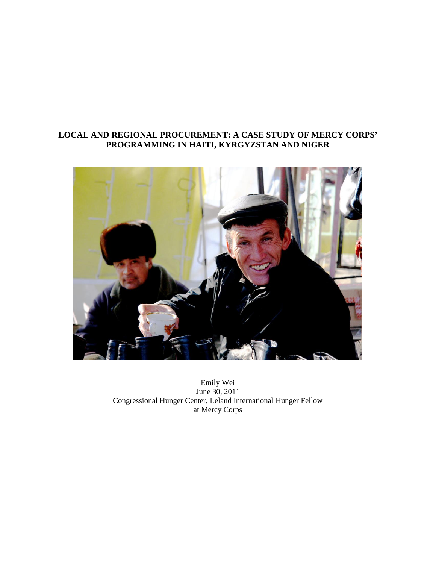# **LOCAL AND REGIONAL PROCUREMENT: A CASE STUDY OF MERCY CORPS' PROGRAMMING IN HAITI, KYRGYZSTAN AND NIGER**



Emily Wei June 30, 2011 Congressional Hunger Center, Leland International Hunger Fellow at Mercy Corps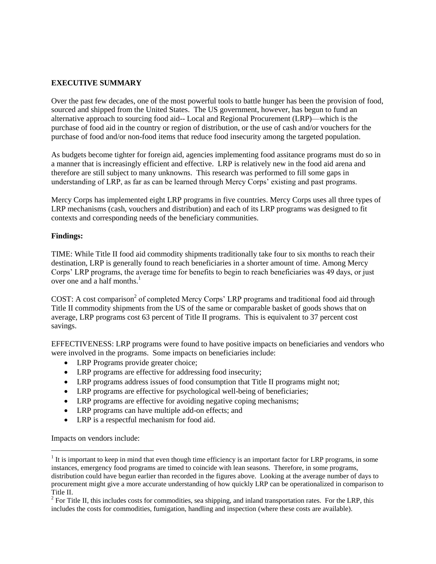# **EXECUTIVE SUMMARY**

Over the past few decades, one of the most powerful tools to battle hunger has been the provision of food, sourced and shipped from the United States. The US government, however, has begun to fund an alternative approach to sourcing food aid-- Local and Regional Procurement (LRP)—which is the purchase of food aid in the country or region of distribution, or the use of cash and/or vouchers for the purchase of food and/or non-food items that reduce food insecurity among the targeted population.

As budgets become tighter for foreign aid, agencies implementing food assitance programs must do so in a manner that is increasingly efficient and effective. LRP is relatively new in the food aid arena and therefore are still subject to many unknowns. This research was performed to fill some gaps in understanding of LRP, as far as can be learned through Mercy Corps' existing and past programs.

Mercy Corps has implemented eight LRP programs in five countries. Mercy Corps uses all three types of LRP mechanisms (cash, vouchers and distribution) and each of its LRP programs was designed to fit contexts and corresponding needs of the beneficiary communities.

# **Findings:**

TIME: While Title II food aid commodity shipments traditionally take four to six months to reach their destination, LRP is generally found to reach beneficiaries in a shorter amount of time. Among Mercy Corps' LRP programs, the average time for benefits to begin to reach beneficiaries was 49 days, or just over one and a half months. $<sup>1</sup>$ </sup>

COST: A cost comparison<sup>2</sup> of completed Mercy Corps' LRP programs and traditional food aid through Title II commodity shipments from the US of the same or comparable basket of goods shows that on average, LRP programs cost 63 percent of Title II programs. This is equivalent to 37 percent cost savings.

EFFECTIVENESS: LRP programs were found to have positive impacts on beneficiaries and vendors who were involved in the programs. Some impacts on beneficiaries include:

- LRP Programs provide greater choice;
- LRP programs are effective for addressing food insecurity;
- LRP programs address issues of food consumption that Title II programs might not;
- LRP programs are effective for psychological well-being of beneficiaries;
- LRP programs are effective for avoiding negative coping mechanisms;
- LRP programs can have multiple add-on effects; and
- LRP is a respectful mechanism for food aid.

Impacts on vendors include:

 $1$  It is important to keep in mind that even though time efficiency is an important factor for LRP programs, in some instances, emergency food programs are timed to coincide with lean seasons. Therefore, in some programs, distribution could have begun earlier than recorded in the figures above. Looking at the average number of days to procurement might give a more accurate understanding of how quickly LRP can be operationalized in comparison to Title II.

 $2^2$  For Title II, this includes costs for commodities, sea shipping, and inland transportation rates. For the LRP, this includes the costs for commodities, fumigation, handling and inspection (where these costs are available).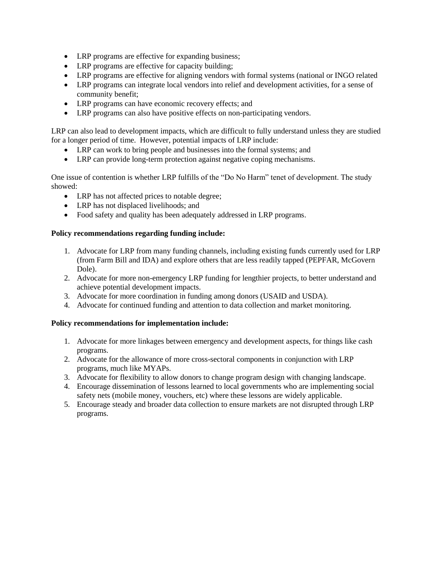- LRP programs are effective for expanding business;
- LRP programs are effective for capacity building;
- LRP programs are effective for aligning vendors with formal systems (national or INGO related
- LRP programs can integrate local vendors into relief and development activities, for a sense of community benefit;
- LRP programs can have economic recovery effects; and
- LRP programs can also have positive effects on non-participating vendors.

LRP can also lead to development impacts, which are difficult to fully understand unless they are studied for a longer period of time. However, potential impacts of LRP include:

- LRP can work to bring people and businesses into the formal systems; and
- LRP can provide long-term protection against negative coping mechanisms.

One issue of contention is whether LRP fulfills of the "Do No Harm" tenet of development. The study showed:

- LRP has not affected prices to notable degree;
- LRP has not displaced livelihoods; and
- Food safety and quality has been adequately addressed in LRP programs.

# **Policy recommendations regarding funding include:**

- 1. Advocate for LRP from many funding channels, including existing funds currently used for LRP (from Farm Bill and IDA) and explore others that are less readily tapped (PEPFAR, McGovern Dole).
- 2. Advocate for more non-emergency LRP funding for lengthier projects, to better understand and achieve potential development impacts.
- 3. Advocate for more coordination in funding among donors (USAID and USDA).
- 4. Advocate for continued funding and attention to data collection and market monitoring.

# **Policy recommendations for implementation include:**

- 1. Advocate for more linkages between emergency and development aspects, for things like cash programs.
- 2. Advocate for the allowance of more cross-sectoral components in conjunction with LRP programs, much like MYAPs.
- 3. Advocate for flexibility to allow donors to change program design with changing landscape.
- 4. Encourage dissemination of lessons learned to local governments who are implementing social safety nets (mobile money, vouchers, etc) where these lessons are widely applicable.
- 5. Encourage steady and broader data collection to ensure markets are not disrupted through LRP programs.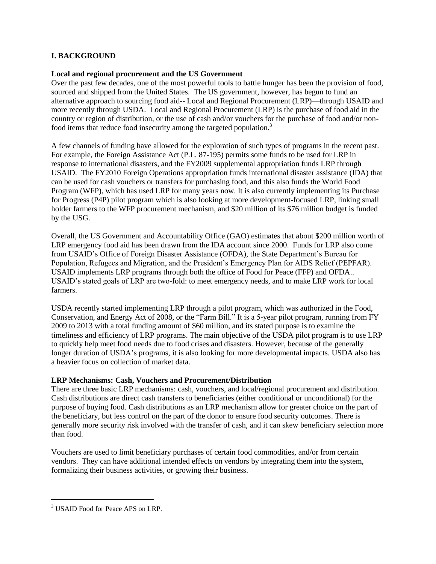# **I. BACKGROUND**

# **Local and regional procurement and the US Government**

Over the past few decades, one of the most powerful tools to battle hunger has been the provision of food, sourced and shipped from the United States. The US government, however, has begun to fund an alternative approach to sourcing food aid-- Local and Regional Procurement (LRP)—through USAID and more recently through USDA. Local and Regional Procurement (LRP) is the purchase of food aid in the country or region of distribution, or the use of cash and/or vouchers for the purchase of food and/or nonfood items that reduce food insecurity among the targeted population.<sup>3</sup>

A few channels of funding have allowed for the exploration of such types of programs in the recent past. For example, the Foreign Assistance Act (P.L. 87-195) permits some funds to be used for LRP in response to international disasters, and the FY2009 supplemental appropriation funds LRP through USAID. The FY2010 Foreign Operations appropriation funds international disaster assistance (IDA) that can be used for cash vouchers or transfers for purchasing food, and this also funds the World Food Program (WFP), which has used LRP for many years now. It is also currently implementing its Purchase for Progress (P4P) pilot program which is also looking at more development-focused LRP, linking small holder farmers to the WFP procurement mechanism, and \$20 million of its \$76 million budget is funded by the USG.

Overall, the US Government and Accountability Office (GAO) estimates that about \$200 million worth of LRP emergency food aid has been drawn from the IDA account since 2000. Funds for LRP also come from USAID's Office of Foreign Disaster Assistance (OFDA), the State Department's Bureau for Population, Refugees and Migration, and the President's Emergency Plan for AIDS Relief (PEPFAR). USAID implements LRP programs through both the office of Food for Peace (FFP) and OFDA.. USAID's stated goals of LRP are two-fold: to meet emergency needs, and to make LRP work for local farmers.

USDA recently started implementing LRP through a pilot program, which was authorized in the Food, Conservation, and Energy Act of 2008, or the "Farm Bill." It is a 5-year pilot program, running from FY 2009 to 2013 with a total funding amount of \$60 million, and its stated purpose is to examine the timeliness and efficiency of LRP programs. The main objective of the USDA pilot program is to use LRP to quickly help meet food needs due to food crises and disasters. However, because of the generally longer duration of USDA's programs, it is also looking for more developmental impacts. USDA also has a heavier focus on collection of market data.

# **LRP Mechanisms: Cash, Vouchers and Procurement/Distribution**

There are three basic LRP mechanisms: cash, vouchers, and local/regional procurement and distribution. Cash distributions are direct cash transfers to beneficiaries (either conditional or unconditional) for the purpose of buying food. Cash distributions as an LRP mechanism allow for greater choice on the part of the beneficiary, but less control on the part of the donor to ensure food security outcomes. There is generally more security risk involved with the transfer of cash, and it can skew beneficiary selection more than food.

Vouchers are used to limit beneficiary purchases of certain food commodities, and/or from certain vendors. They can have additional intended effects on vendors by integrating them into the system, formalizing their business activities, or growing their business.

<sup>&</sup>lt;sup>3</sup> USAID Food for Peace APS on LRP.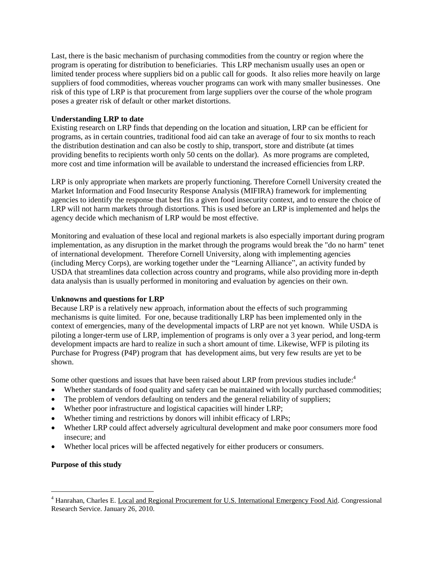Last, there is the basic mechanism of purchasing commodities from the country or region where the program is operating for distribution to beneficiaries. This LRP mechanism usually uses an open or limited tender process where suppliers bid on a public call for goods. It also relies more heavily on large suppliers of food commodities, whereas voucher programs can work with many smaller businesses. One risk of this type of LRP is that procurement from large suppliers over the course of the whole program poses a greater risk of default or other market distortions.

# **Understanding LRP to date**

Existing research on LRP finds that depending on the location and situation, LRP can be efficient for programs, as in certain countries, traditional food aid can take an average of four to six months to reach the distribution destination and can also be costly to ship, transport, store and distribute (at times providing benefits to recipients worth only 50 cents on the dollar). As more programs are completed, more cost and time information will be available to understand the increased efficiencies from LRP.

LRP is only appropriate when markets are properly functioning. Therefore Cornell University created the Market Information and Food Insecurity Response Analysis (MIFIRA) framework for implementing agencies to identify the response that best fits a given food insecurity context, and to ensure the choice of LRP will not harm markets through distortions. This is used before an LRP is implemented and helps the agency decide which mechanism of LRP would be most effective.

Monitoring and evaluation of these local and regional markets is also especially important during program implementation, as any disruption in the market through the programs would break the "do no harm" tenet of international development. Therefore Cornell University, along with implementing agencies (including Mercy Corps), are working together under the "Learning Alliance", an activity funded by USDA that streamlines data collection across country and programs, while also providing more in-depth data analysis than is usually performed in monitoring and evaluation by agencies on their own.

# **Unknowns and questions for LRP**

Because LRP is a relatively new approach, information about the effects of such programming mechanisms is quite limited. For one, because traditionally LRP has been implemented only in the context of emergencies, many of the developmental impacts of LRP are not yet known. While USDA is piloting a longer-term use of LRP, implemention of programs is only over a 3 year period, and long-term development impacts are hard to realize in such a short amount of time. Likewise, WFP is piloting its Purchase for Progress (P4P) program that has development aims, but very few results are yet to be shown.

Some other questions and issues that have been raised about LRP from previous studies include:<sup>4</sup>

- Whether standards of food quality and safety can be maintained with locally purchased commodities;
- The problem of vendors defaulting on tenders and the general reliability of suppliers;
- Whether poor infrastructure and logistical capacities will hinder LRP;
- Whether timing and restrictions by donors will inhibit efficacy of LRPs;
- Whether LRP could affect adversely agricultural development and make poor consumers more food insecure; and
- Whether local prices will be affected negatively for either producers or consumers.

# **Purpose of this study**

<sup>4</sup> Hanrahan, Charles E. Local and Regional Procurement for U.S. International Emergency Food Aid. Congressional Research Service. January 26, 2010.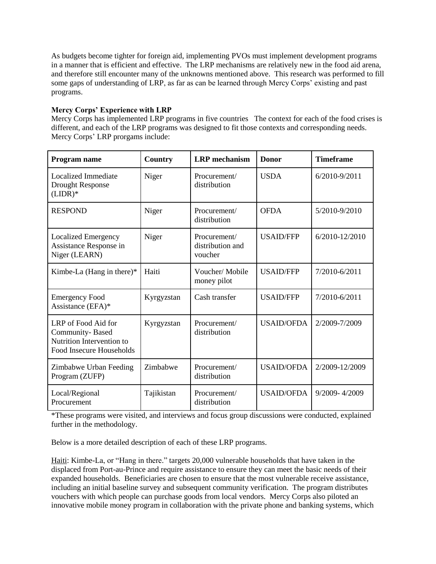As budgets become tighter for foreign aid, implementing PVOs must implement development programs in a manner that is efficient and effective. The LRP mechanisms are relatively new in the food aid arena, and therefore still encounter many of the unknowns mentioned above. This research was performed to fill some gaps of understanding of LRP, as far as can be learned through Mercy Corps' existing and past programs.

# **Mercy Corps' Experience with LRP**

Mercy Corps has implemented LRP programs in five countries The context for each of the food crises is different, and each of the LRP programs was designed to fit those contexts and corresponding needs. Mercy Corps' LRP prorgams include:

| Program name                                                                                    | Country    | <b>LRP</b> mechanism                        | <b>Donor</b>      | <b>Timeframe</b> |
|-------------------------------------------------------------------------------------------------|------------|---------------------------------------------|-------------------|------------------|
| Localized Immediate<br><b>Drought Response</b><br>$(LIDR)*$                                     | Niger      | Procurement/<br>distribution                | <b>USDA</b>       | 6/2010-9/2011    |
| <b>RESPOND</b>                                                                                  | Niger      | Procurement/<br>distribution                | <b>OFDA</b>       | 5/2010-9/2010    |
| <b>Localized Emergency</b><br>Assistance Response in<br>Niger (LEARN)                           | Niger      | Procurement/<br>distribution and<br>voucher | <b>USAID/FFP</b>  | 6/2010-12/2010   |
| Kimbe-La (Hang in there)*                                                                       | Haiti      | Voucher/Mobile<br>money pilot               | <b>USAID/FFP</b>  | 7/2010-6/2011    |
| <b>Emergency Food</b><br>Assistance (EFA)*                                                      | Kyrgyzstan | Cash transfer                               | <b>USAID/FFP</b>  | 7/2010-6/2011    |
| LRP of Food Aid for<br>Community-Based<br>Nutrition Intervention to<br>Food Insecure Households | Kyrgyzstan | Procurement/<br>distribution                | <b>USAID/OFDA</b> | 2/2009-7/2009    |
| Zimbabwe Urban Feeding<br>Program (ZUFP)                                                        | Zimbabwe   | Procurement/<br>distribution                | <b>USAID/OFDA</b> | 2/2009-12/2009   |
| Local/Regional<br>Procurement                                                                   | Tajikistan | Procurement/<br>distribution                | <b>USAID/OFDA</b> | 9/2009-4/2009    |

\*These programs were visited, and interviews and focus group discussions were conducted, explained further in the methodology.

Below is a more detailed description of each of these LRP programs.

Haiti: Kimbe-La, or "Hang in there." targets 20,000 vulnerable households that have taken in the displaced from Port-au-Prince and require assistance to ensure they can meet the basic needs of their expanded households. Beneficiaries are chosen to ensure that the most vulnerable receive assistance, including an initial baseline survey and subsequent community verification. The program distributes vouchers with which people can purchase goods from local vendors. Mercy Corps also piloted an innovative mobile money program in collaboration with the private phone and banking systems, which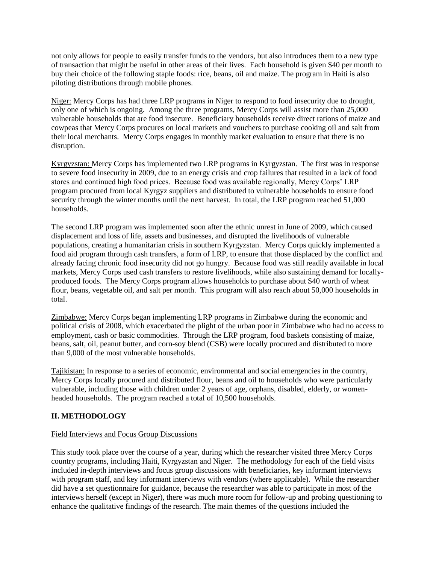not only allows for people to easily transfer funds to the vendors, but also introduces them to a new type of transaction that might be useful in other areas of their lives. Each household is given \$40 per month to buy their choice of the following staple foods: rice, beans, oil and maize. The program in Haiti is also piloting distributions through mobile phones.

Niger: Mercy Corps has had three LRP programs in Niger to respond to food insecurity due to drought, only one of which is ongoing. Among the three programs, Mercy Corps will assist more than 25,000 vulnerable households that are food insecure. Beneficiary households receive direct rations of maize and cowpeas that Mercy Corps procures on local markets and vouchers to purchase cooking oil and salt from their local merchants. Mercy Corps engages in monthly market evaluation to ensure that there is no disruption.

Kyrgyzstan: Mercy Corps has implemented two LRP programs in Kyrgyzstan. The first was in response to severe food insecurity in 2009, due to an energy crisis and crop failures that resulted in a lack of food stores and continued high food prices. Because food was available regionally, Mercy Corps' LRP program procured from local Kyrgyz suppliers and distributed to vulnerable households to ensure food security through the winter months until the next harvest. In total, the LRP program reached 51,000 households.

The second LRP program was implemented soon after the ethnic unrest in June of 2009, which caused displacement and loss of life, assets and businesses, and disrupted the livelihoods of vulnerable populations, creating a humanitarian crisis in southern Kyrgyzstan. Mercy Corps quickly implemented a food aid program through cash transfers, a form of LRP, to ensure that those displaced by the conflict and already facing chronic food insecurity did not go hungry. Because food was still readily available in local markets, Mercy Corps used cash transfers to restore livelihoods, while also sustaining demand for locallyproduced foods. The Mercy Corps program allows households to purchase about \$40 worth of wheat flour, beans, vegetable oil, and salt per month. This program will also reach about 50,000 households in total.

Zimbabwe: Mercy Corps began implementing LRP programs in Zimbabwe during the economic and political crisis of 2008, which exacerbated the plight of the urban poor in Zimbabwe who had no access to employment, cash or basic commodities. Through the LRP program, food baskets consisting of maize, beans, salt, oil, peanut butter, and corn-soy blend (CSB) were locally procured and distributed to more than 9,000 of the most vulnerable households.

Tajikistan: In response to a series of economic, environmental and social emergencies in the country, Mercy Corps locally procured and distributed flour, beans and oil to households who were particularly vulnerable, including those with children under 2 years of age, orphans, disabled, elderly, or womenheaded households. The program reached a total of 10,500 households.

# **II. METHODOLOGY**

# Field Interviews and Focus Group Discussions

This study took place over the course of a year, during which the researcher visited three Mercy Corps country programs, including Haiti, Kyrgyzstan and Niger. The methodology for each of the field visits included in-depth interviews and focus group discussions with beneficiaries, key informant interviews with program staff, and key informant interviews with vendors (where applicable). While the researcher did have a set questionnaire for guidance, because the researcher was able to participate in most of the interviews herself (except in Niger), there was much more room for follow-up and probing questioning to enhance the qualitative findings of the research. The main themes of the questions included the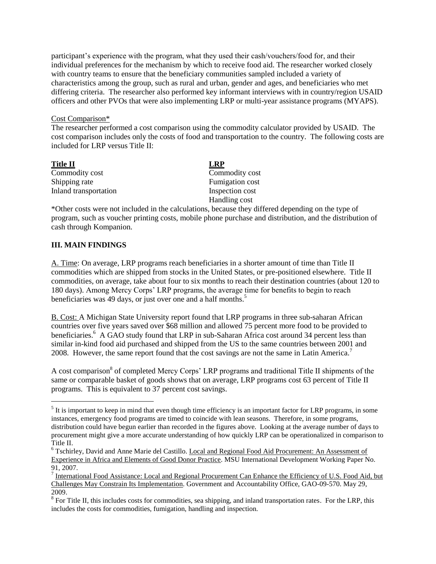participant's experience with the program, what they used their cash/vouchers/food for, and their individual preferences for the mechanism by which to receive food aid. The researcher worked closely with country teams to ensure that the beneficiary communities sampled included a variety of characteristics among the group, such as rural and urban, gender and ages, and beneficiaries who met differing criteria. The researcher also performed key informant interviews with in country/region USAID officers and other PVOs that were also implementing LRP or multi-year assistance programs (MYAPS).

#### Cost Comparison\*

The researcher performed a cost comparison using the commodity calculator provided by USAID. The cost comparison includes only the costs of food and transportation to the country. The following costs are included for LRP versus Title II:

**Title II LRP** Commodity cost Commodity cost Shipping rate Fumigation cost Inland transportation Inspection cost

Handling cost

\*Other costs were not included in the calculations, because they differed depending on the type of program, such as voucher printing costs, mobile phone purchase and distribution, and the distribution of cash through Kompanion.

# **III. MAIN FINDINGS**

A. Time: On average, LRP programs reach beneficiaries in a shorter amount of time than Title II commodities which are shipped from stocks in the United States, or pre-positioned elsewhere. Title II commodities, on average, take about four to six months to reach their destination countries (about 120 to 180 days). Among Mercy Corps' LRP programs, the average time for benefits to begin to reach beneficiaries was 49 days, or just over one and a half months.<sup>5</sup>

B. Cost: A Michigan State University report found that LRP programs in three sub-saharan African countries over five years saved over \$68 million and allowed 75 percent more food to be provided to beneficiaries.<sup>6</sup> A GAO study found that LRP in sub-Saharan Africa cost around 34 percent less than similar in-kind food aid purchased and shipped from the US to the same countries between 2001 and 2008. However, the same report found that the cost savings are not the same in Latin America.<sup>7</sup>

A cost comparison<sup>8</sup> of completed Mercy Corps' LRP programs and traditional Title II shipments of the same or comparable basket of goods shows that on average, LRP programs cost 63 percent of Title II programs. This is equivalent to 37 percent cost savings.

 $<sup>5</sup>$  It is important to keep in mind that even though time efficiency is an important factor for LRP programs, in some</sup> instances, emergency food programs are timed to coincide with lean seasons. Therefore, in some programs, distribution could have begun earlier than recorded in the figures above. Looking at the average number of days to procurement might give a more accurate understanding of how quickly LRP can be operationalized in comparison to Title II.

<sup>6</sup> Tschirley, David and Anne Marie del Castillo. Local and Regional Food Aid Procurement: An Assessment of Experience in Africa and Elements of Good Donor Practice. MSU International Development Working Paper No. 91, 2007.

 $^7$  International Food Assistance: Local and Regional Procurement Can Enhance the Efficiency of U.S. Food Aid, but Challenges May Constrain Its Implementation. Government and Accountability Office, GAO-09-570. May 29, 2009.

 $8$  For Title II, this includes costs for commodities, sea shipping, and inland transportation rates. For the LRP, this includes the costs for commodities, fumigation, handling and inspection.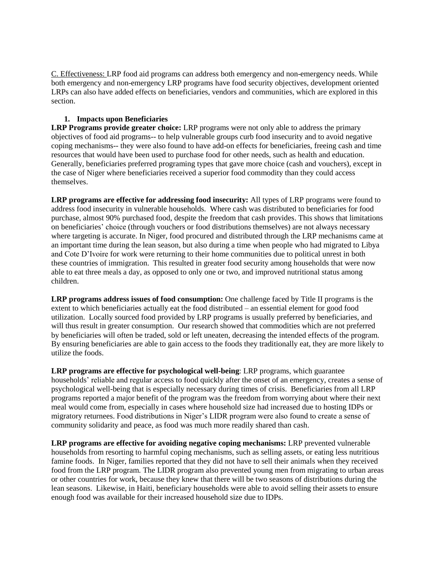C. Effectiveness: LRP food aid programs can address both emergency and non-emergency needs. While both emergency and non-emergency LRP programs have food security objectives, development oriented LRPs can also have added effects on beneficiaries, vendors and communities, which are explored in this section.

# **1. Impacts upon Beneficiaries**

**LRP Programs provide greater choice:** LRP programs were not only able to address the primary objectives of food aid programs-- to help vulnerable groups curb food insecurity and to avoid negative coping mechanisms-- they were also found to have add-on effects for beneficiaries, freeing cash and time resources that would have been used to purchase food for other needs, such as health and education. Generally, beneficiaries preferred programing types that gave more choice (cash and vouchers), except in the case of Niger where beneficiaries received a superior food commodity than they could access themselves.

**LRP programs are effective for addressing food insecurity:** All types of LRP programs were found to address food insecurity in vulnerable households. Where cash was distributed to beneficiaries for food purchase, almost 90% purchased food, despite the freedom that cash provides. This shows that limitations on beneficiaries' choice (through vouchers or food distributions themselves) are not always necessary where targeting is accurate. In Niger, food procured and distributed through the LRP mechanisms came at an important time during the lean season, but also during a time when people who had migrated to Libya and Cote D'Ivoire for work were returning to their home communities due to political unrest in both these countries of immigration. This resulted in greater food security among households that were now able to eat three meals a day, as opposed to only one or two, and improved nutritional status among children.

**LRP programs address issues of food consumption:** One challenge faced by Title II programs is the extent to which beneficiaries actually eat the food distributed – an essential element for good food utilization. Locally sourced food provided by LRP programs is usually preferred by beneficiaries, and will thus result in greater consumption. Our research showed that commodities which are not preferred by beneficiaries will often be traded, sold or left uneaten, decreasing the intended effects of the program. By ensuring beneficiaries are able to gain access to the foods they traditionally eat, they are more likely to utilize the foods.

**LRP programs are effective for psychological well-being**: LRP programs, which guarantee households' reliable and regular access to food quickly after the onset of an emergency, creates a sense of psychological well-being that is especially necessary during times of crisis. Beneficiaries from all LRP programs reported a major benefit of the program was the freedom from worrying about where their next meal would come from, especially in cases where household size had increased due to hosting IDPs or migratory returnees. Food distributions in Niger's LIDR program were also found to create a sense of community solidarity and peace, as food was much more readily shared than cash.

**LRP programs are effective for avoiding negative coping mechanisms:** LRP prevented vulnerable households from resorting to harmful coping mechanisms, such as selling assets, or eating less nutritious famine foods. In Niger, families reported that they did not have to sell their animals when they received food from the LRP program. The LIDR program also prevented young men from migrating to urban areas or other countries for work, because they knew that there will be two seasons of distributions during the lean seasons. Likewise, in Haiti, beneficiary households were able to avoid selling their assets to ensure enough food was available for their increased household size due to IDPs.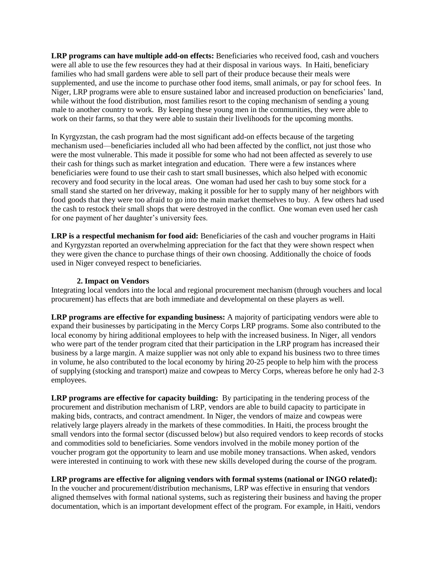**LRP programs can have multiple add-on effects:** Beneficiaries who received food, cash and vouchers were all able to use the few resources they had at their disposal in various ways. In Haiti, beneficiary families who had small gardens were able to sell part of their produce because their meals were supplemented, and use the income to purchase other food items, small animals, or pay for school fees. In Niger, LRP programs were able to ensure sustained labor and increased production on beneficiaries' land, while without the food distribution, most families resort to the coping mechanism of sending a young male to another country to work. By keeping these young men in the communities, they were able to work on their farms, so that they were able to sustain their livelihoods for the upcoming months.

In Kyrgyzstan, the cash program had the most significant add-on effects because of the targeting mechanism used—beneficiaries included all who had been affected by the conflict, not just those who were the most vulnerable. This made it possible for some who had not been affected as severely to use their cash for things such as market integration and education. There were a few instances where beneficiaries were found to use their cash to start small businesses, which also helped with economic recovery and food security in the local areas. One woman had used her cash to buy some stock for a small stand she started on her driveway, making it possible for her to supply many of her neighbors with food goods that they were too afraid to go into the main market themselves to buy. A few others had used the cash to restock their small shops that were destroyed in the conflict. One woman even used her cash for one payment of her daughter's university fees.

**LRP is a respectful mechanism for food aid:** Beneficiaries of the cash and voucher programs in Haiti and Kyrgyzstan reported an overwhelming appreciation for the fact that they were shown respect when they were given the chance to purchase things of their own choosing. Additionally the choice of foods used in Niger conveyed respect to beneficiaries.

#### **2. Impact on Vendors**

Integrating local vendors into the local and regional procurement mechanism (through vouchers and local procurement) has effects that are both immediate and developmental on these players as well.

**LRP programs are effective for expanding business:** A majority of participating vendors were able to expand their businesses by participating in the Mercy Corps LRP programs. Some also contributed to the local economy by hiring additional employees to help with the increased business. In Niger, all vendors who were part of the tender program cited that their participation in the LRP program has increased their business by a large margin. A maize supplier was not only able to expand his business two to three times in volume, he also contributed to the local economy by hiring 20-25 people to help him with the process of supplying (stocking and transport) maize and cowpeas to Mercy Corps, whereas before he only had 2-3 employees.

**LRP programs are effective for capacity building:** By participating in the tendering process of the procurement and distribution mechanism of LRP, vendors are able to build capacity to participate in making bids, contracts, and contract amendment. In Niger, the vendors of maize and cowpeas were relatively large players already in the markets of these commodities. In Haiti, the process brought the small vendors into the formal sector (discussed below) but also required vendors to keep records of stocks and commodities sold to beneficiaries. Some vendors involved in the mobile money portion of the voucher program got the opportunity to learn and use mobile money transactions. When asked, vendors were interested in continuing to work with these new skills developed during the course of the program.

# **LRP programs are effective for aligning vendors with formal systems (national or INGO related):**

In the voucher and procurement/distribution mechanisms, LRP was effective in ensuring that vendors aligned themselves with formal national systems, such as registering their business and having the proper documentation, which is an important development effect of the program. For example, in Haiti, vendors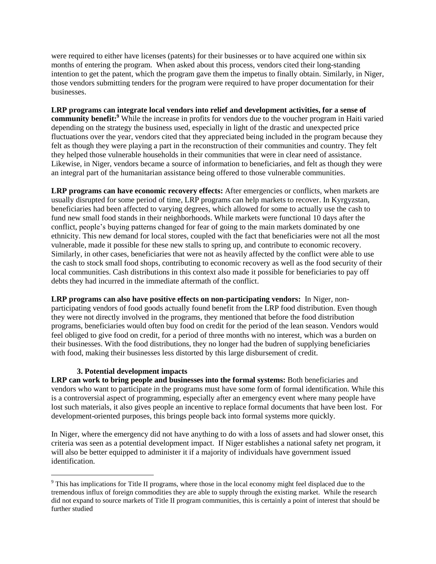were required to either have licenses (patents) for their businesses or to have acquired one within six months of entering the program. When asked about this process, vendors cited their long-standing intention to get the patent, which the program gave them the impetus to finally obtain. Similarly, in Niger, those vendors submitting tenders for the program were required to have proper documentation for their businesses.

**LRP programs can integrate local vendors into relief and development activities, for a sense of community benefit:<sup>9</sup>** While the increase in profits for vendors due to the voucher program in Haiti varied depending on the strategy the business used, especially in light of the drastic and unexpected price fluctuations over the year, vendors cited that they appreciated being included in the program because they felt as though they were playing a part in the reconstruction of their communities and country. They felt they helped those vulnerable households in their communities that were in clear need of assistance. Likewise, in Niger, vendors became a source of information to beneficiaries, and felt as though they were an integral part of the humanitarian assistance being offered to those vulnerable communities.

**LRP programs can have economic recovery effects:** After emergencies or conflicts, when markets are usually disrupted for some period of time, LRP programs can help markets to recover. In Kyrgyzstan, beneficiaries had been affected to varying degrees, which allowed for some to actually use the cash to fund new small food stands in their neighborhoods. While markets were functional 10 days after the conflict, people's buying patterns changed for fear of going to the main markets dominated by one ethnicity. This new demand for local stores, coupled with the fact that beneficiaries were not all the most vulnerable, made it possible for these new stalls to spring up, and contribute to economic recovery. Similarly, in other cases, beneficiaries that were not as heavily affected by the conflict were able to use the cash to stock small food shops, contributing to economic recovery as well as the food security of their local communities. Cash distributions in this context also made it possible for beneficiaries to pay off debts they had incurred in the immediate aftermath of the conflict.

**LRP programs can also have positive effects on non-participating vendors:** In Niger, nonparticipating vendors of food goods actually found benefit from the LRP food distribution. Even though they were not directly involved in the programs, they mentioned that before the food distribution programs, beneficiaries would often buy food on credit for the period of the lean season. Vendors would feel obliged to give food on credit, for a period of three months with no interest, which was a burden on their businesses. With the food distributions, they no longer had the budren of supplying beneficiaries with food, making their businesses less distorted by this large disbursement of credit.

# **3. Potential development impacts**

 $\overline{a}$ 

**LRP can work to bring people and businesses into the formal systems:** Both beneficiaries and vendors who want to participate in the programs must have some form of formal identification. While this is a controversial aspect of programming, especially after an emergency event where many people have lost such materials, it also gives people an incentive to replace formal documents that have been lost. For development-oriented purposes, this brings people back into formal systems more quickly.

In Niger, where the emergency did not have anything to do with a loss of assets and had slower onset, this criteria was seen as a potential development impact. If Niger establishes a national safety net program, it will also be better equipped to administer it if a majority of individuals have government issued identification.

<sup>9</sup> This has implications for Title II programs, where those in the local economy might feel displaced due to the tremendous influx of foreign commodities they are able to supply through the existing market. While the research did not expand to source markets of Title II program communities, this is certainly a point of interest that should be further studied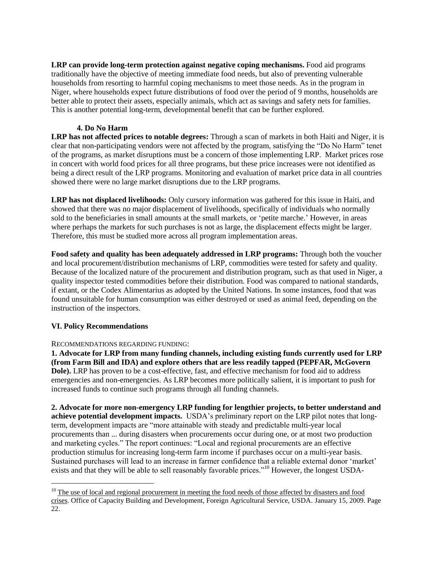**LRP can provide long-term protection against negative coping mechanisms.** Food aid programs traditionally have the objective of meeting immediate food needs, but also of preventing vulnerable households from resorting to harmful coping mechanisms to meet those needs. As in the program in Niger, where households expect future distributions of food over the period of 9 months, households are better able to protect their assets, especially animals, which act as savings and safety nets for families. This is another potential long-term, developmental benefit that can be further explored.

# **4. Do No Harm**

**LRP has not affected prices to notable degrees:** Through a scan of markets in both Haiti and Niger, it is clear that non-participating vendors were not affected by the program, satisfying the "Do No Harm" tenet of the programs, as market disruptions must be a concern of those implementing LRP. Market prices rose in concert with world food prices for all three programs, but these price increases were not identified as being a direct result of the LRP programs. Monitoring and evaluation of market price data in all countries showed there were no large market disruptions due to the LRP programs.

**LRP has not displaced livelihoods:** Only cursory information was gathered for this issue in Haiti, and showed that there was no major displacement of livelihoods, specifically of individuals who normally sold to the beneficiaries in small amounts at the small markets, or 'petite marche.' However, in areas where perhaps the markets for such purchases is not as large, the displacement effects might be larger. Therefore, this must be studied more across all program implementation areas.

**Food safety and quality has been adequately addressed in LRP programs:** Through both the voucher and local procurement/distribution mechanisms of LRP, commodities were tested for safety and quality. Because of the localized nature of the procurement and distribution program, such as that used in Niger, a quality inspector tested commodities before their distribution. Food was compared to national standards, if extant, or the Codex Alimentarius as adopted by the United Nations. In some instances, food that was found unsuitable for human consumption was either destroyed or used as animal feed, depending on the instruction of the inspectors.

# **VI. Policy Recommendations**

 $\overline{a}$ 

# RECOMMENDATIONS REGARDING FUNDING:

**1. Advocate for LRP from many funding channels, including existing funds currently used for LRP (from Farm Bill and IDA) and explore others that are less readily tapped (PEPFAR, McGovern Dole).** LRP has proven to be a cost-effective, fast, and effective mechanism for food aid to address emergencies and non-emergencies. As LRP becomes more politically salient, it is important to push for increased funds to continue such programs through all funding channels.

**2. Advocate for more non-emergency LRP funding for lengthier projects, to better understand and achieve potential development impacts.** USDA's preliminary report on the LRP pilot notes that longterm, development impacts are "more attainable with steady and predictable multi-year local procurements than ... during disasters when procurements occur during one, or at most two production and marketing cycles." The report continues: "Local and regional procurements are an effective production stimulus for increasing long-term farm income if purchases occur on a multi-year basis. Sustained purchases will lead to an increase in farmer confidence that a reliable external donor 'market' exists and that they will be able to sell reasonably favorable prices."<sup>10</sup> However, the longest USDA-

 $10$  The use of local and regional procurement in meeting the food needs of those affected by disasters and food crises. Office of Capacity Building and Development, Foreign Agricultural Service, USDA. January 15, 2009. Page 22.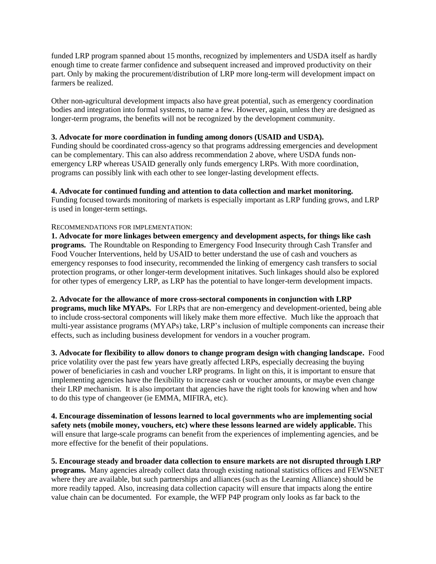funded LRP program spanned about 15 months, recognized by implementers and USDA itself as hardly enough time to create farmer confidence and subsequent increased and improved productivity on their part. Only by making the procurement/distribution of LRP more long-term will development impact on farmers be realized.

Other non-agricultural development impacts also have great potential, such as emergency coordination bodies and integration into formal systems, to name a few. However, again, unless they are designed as longer-term programs, the benefits will not be recognized by the development community.

# **3. Advocate for more coordination in funding among donors (USAID and USDA).**

Funding should be coordinated cross-agency so that programs addressing emergencies and development can be complementary. This can also address recommendation 2 above, where USDA funds nonemergency LRP whereas USAID generally only funds emergency LRPs. With more coordination, programs can possibly link with each other to see longer-lasting development effects.

#### **4. Advocate for continued funding and attention to data collection and market monitoring.**

Funding focused towards monitoring of markets is especially important as LRP funding grows, and LRP is used in longer-term settings.

#### RECOMMENDATIONS FOR IMPLEMENTATION:

**1. Advocate for more linkages between emergency and development aspects, for things like cash programs.** The Roundtable on Responding to Emergency Food Insecurity through Cash Transfer and Food Voucher Interventions, held by USAID to better understand the use of cash and vouchers as emergency responses to food insecurity, recommended the linking of emergency cash transfers to social protection programs, or other longer-term development initatives. Such linkages should also be explored for other types of emergency LRP, as LRP has the potential to have longer-term development impacts.

#### **2. Advocate for the allowance of more cross-sectoral components in conjunction with LRP**

**programs, much like MYAPs.** For LRPs that are non-emergency and development-oriented, being able to include cross-sectoral components will likely make them more effective. Much like the approach that multi-year assistance programs (MYAPs) take, LRP's inclusion of multiple components can increase their effects, such as including business development for vendors in a voucher program.

**3. Advocate for flexibility to allow donors to change program design with changing landscape.** Food price volatility over the past few years have greatly affected LRPs, especially decreasing the buying power of beneficiaries in cash and voucher LRP programs. In light on this, it is important to ensure that implementing agencies have the flexibility to increase cash or voucher amounts, or maybe even change their LRP mechanism. It is also important that agencies have the right tools for knowing when and how to do this type of changeover (ie EMMA, MIFIRA, etc).

**4. Encourage dissemination of lessons learned to local governments who are implementing social safety nets (mobile money, vouchers, etc) where these lessons learned are widely applicable.** This will ensure that large-scale programs can benefit from the experiences of implementing agencies, and be more effective for the benefit of their populations.

**5. Encourage steady and broader data collection to ensure markets are not disrupted through LRP programs.** Many agencies already collect data through existing national statistics offices and FEWSNET where they are available, but such partnerships and alliances (such as the Learning Alliance) should be more readily tapped. Also, increasing data collection capacity will ensure that impacts along the entire value chain can be documented. For example, the WFP P4P program only looks as far back to the